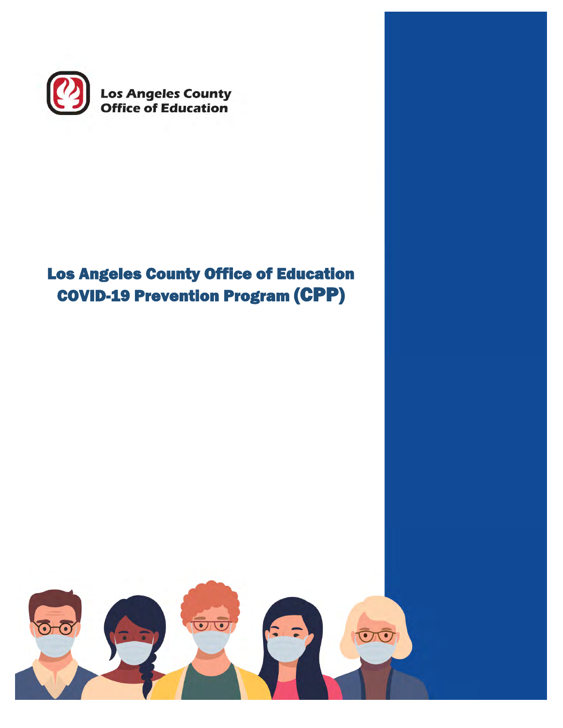

# Los Angeles County Office of Education COVID-19 Prevention Program (CPP)

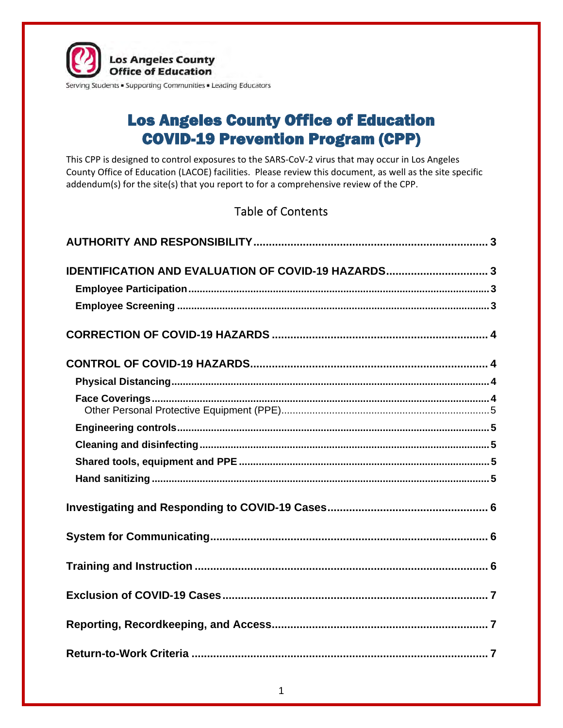

# Los Angeles County Office of Education COVID-19 Prevention Program (CPP)

This CPP is designed to control exposures to the SARS-CoV-2 virus that may occur in Los Angeles County Office of Education (LACOE) facilities. Please review this document, as well as the site specific addendum(s) for the site(s) that you report to for a comprehensive review of the CPP.

## Table of Contents

| <b>IDENTIFICATION AND EVALUATION OF COVID-19 HAZARDS</b> 3 |  |
|------------------------------------------------------------|--|
|                                                            |  |
|                                                            |  |
|                                                            |  |
|                                                            |  |
|                                                            |  |
|                                                            |  |
|                                                            |  |
|                                                            |  |
|                                                            |  |
|                                                            |  |
|                                                            |  |
|                                                            |  |
|                                                            |  |
|                                                            |  |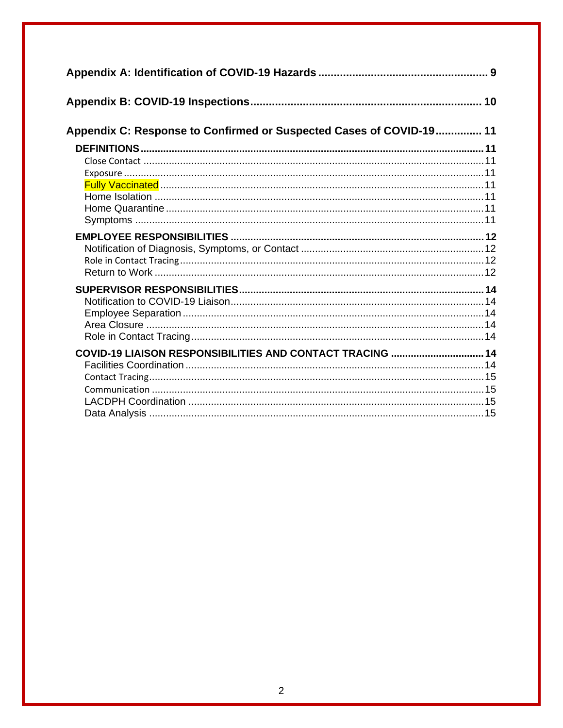| Appendix C: Response to Confirmed or Suspected Cases of COVID-19 11 |  |  |  |
|---------------------------------------------------------------------|--|--|--|
|                                                                     |  |  |  |
|                                                                     |  |  |  |
|                                                                     |  |  |  |
|                                                                     |  |  |  |
|                                                                     |  |  |  |
|                                                                     |  |  |  |
|                                                                     |  |  |  |
|                                                                     |  |  |  |
|                                                                     |  |  |  |
|                                                                     |  |  |  |
|                                                                     |  |  |  |
|                                                                     |  |  |  |
|                                                                     |  |  |  |
|                                                                     |  |  |  |
|                                                                     |  |  |  |
|                                                                     |  |  |  |
| COVID-19 LIAISON RESPONSIBILITIES AND CONTACT TRACING  14           |  |  |  |
|                                                                     |  |  |  |
|                                                                     |  |  |  |
|                                                                     |  |  |  |
|                                                                     |  |  |  |
|                                                                     |  |  |  |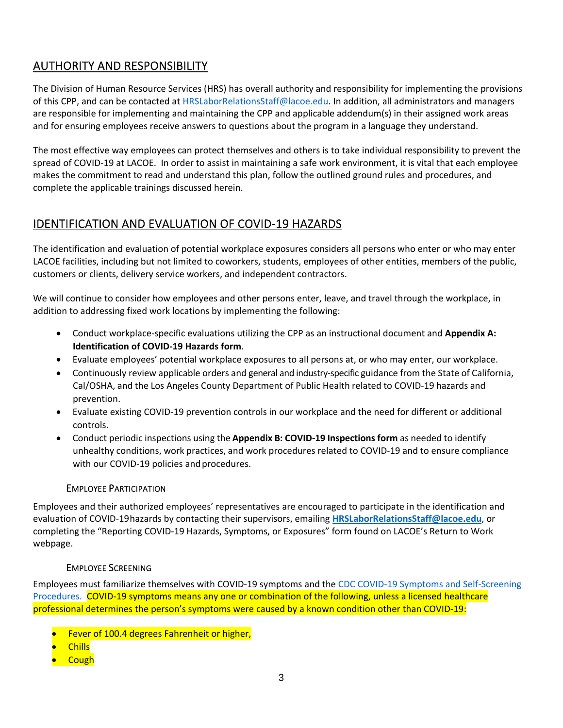## AUTHORITY AND RESPONSIBILITY

The Division of Human Resource Services (HRS) has overall authority and responsibility for implementing the provisions of this CPP, and can be contacted at HRSLaborRelationsStaff@lacoe.edu. In addition, all administrators and managers are responsible for implementing and maintaining the CPP and applicable addendum(s) in their assigned work areas and for ensuring employees receive answers to questions about the program in a language they understand.

The most effective way employees can protect themselves and others is to take individual responsibility to prevent the spread of COVID-19 at LACOE. In order to assist in maintaining a safe work environment, it is vital that each employee makes the commitment to read and understand this plan, follow the outlined ground rules and procedures, and complete the applicable trainings discussed herein.

## IDENTIFICATION AND EVALUATION OF COVID-19 HAZARDS

The identification and evaluation of potential workplace exposures considers all persons who enter or who may enter LACOE facilities, including but not limited to coworkers, students, employees of other entities, members of the public, customers or clients, delivery service workers, and independent contractors.

We will continue to consider how employees and other persons enter, leave, and travel through the workplace, in addition to addressing fixed work locations by implementing the following:

- Conduct workplace-specific evaluations utilizing the CPP as an instructional document and **Appendix A: Identification of COVID-19 Hazards form**.
- Evaluate employees' potential workplace exposures to all persons at, or who may enter, our workplace.
- Continuously review applicable orders and general and industry-specific guidance from the State of California, Cal/OSHA, and the Los Angeles County Department of Public Health related to COVID-19 hazards and prevention.
- Evaluate existing COVID-19 prevention controls in our workplace and the need for different or additional controls.
- Conduct periodic inspections using the **Appendix B: COVID-19 Inspections form** as needed to identify unhealthy conditions, work practices, and work procedures related to COVID-19 and to ensure compliance with our COVID-19 policies and procedures.

## EMPLOYEE PARTICIPATION

Employees and their authorized employees' representatives are encouraged to participate in the identification and evaluation of COVID-19 hazards by contacting their supervisors, emailing **HRSLaborRelationsStaff@lacoe.edu**, or completing the "Reporting COVID-19 Hazards, Symptoms, or Exposures" form found on LACOE's Return to Work webpage.

## EMPLOYEE SCREENING

Employees must familiarize themselves with COVID-19 symptoms and the CDC COVID-19 Symptoms and Self-Screening Procedures. COVID-19 symptoms means any one or combination of the following, unless a licensed healthcare professional determines the person's symptoms were caused by a known condition other than COVID-19:

- Fever of 100.4 degrees Fahrenheit or higher,
- **Chills**
- **Cough**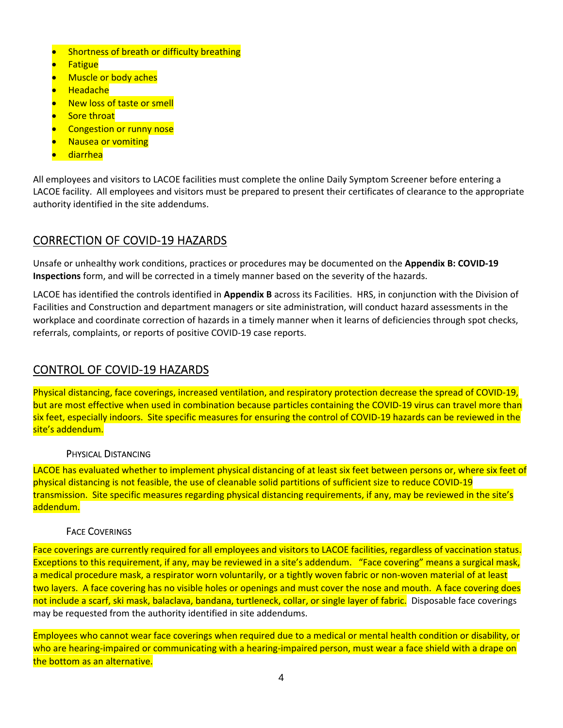- Shortness of breath or difficulty breathing
- **Fatigue**
- Muscle or body aches
- Headache
- New loss of taste or smell
- Sore throat
- Congestion or runny nose
- Nausea or vomiting
- diarrhea

All employees and visitors to LACOE facilities must complete the online Daily Symptom Screener before entering a LACOE facility. All employees and visitors must be prepared to present their certificates of clearance to the appropriate authority identified in the site addendums.

## CORRECTION OF COVID-19 HAZARDS

Unsafe or unhealthy work conditions, practices or procedures may be documented on the **Appendix B: COVID-19 Inspections** form, and will be corrected in a timely manner based on the severity of the hazards.

LACOE has identified the controls identified in **Appendix B** across its Facilities. HRS, in conjunction with the Division of Facilities and Construction and department managers or site administration, will conduct hazard assessments in the workplace and coordinate correction of hazards in a timely manner when it learns of deficiencies through spot checks, referrals, complaints, or reports of positive COVID-19 case reports.

## CONTROL OF COVID-19 HAZARDS

Physical distancing, face coverings, increased ventilation, and respiratory protection decrease the spread of COVID-19, but are most effective when used in combination because particles containing the COVID-19 virus can travel more than six feet, especially indoors. Site specific measures for ensuring the control of COVID-19 hazards can be reviewed in the site's addendum.

### PHYSICAL DISTANCING

LACOE has evaluated whether to implement physical distancing of at least six feet between persons or, where six feet of physical distancing is not feasible, the use of cleanable solid partitions of sufficient size to reduce COVID-19 transmission. Site specific measures regarding physical distancing requirements, if any, may be reviewed in the site's addendum.

## FACE COVERINGS

Face coverings are currently required for all employees and visitors to LACOE facilities, regardless of vaccination status. Exceptions to this requirement, if any, may be reviewed in a site's addendum. "Face covering" means a surgical mask, a medical procedure mask, a respirator worn voluntarily, or a tightly woven fabric or non-woven material of at least two layers. A face covering has no visible holes or openings and must cover the nose and mouth. A face covering does not include a scarf, ski mask, balaclava, bandana, turtleneck, collar, or single layer of fabric. Disposable face coverings may be requested from the authority identified in site addendums.

Employees who cannot wear face coverings when required due to a medical or mental health condition or disability, or who are hearing-impaired or communicating with a hearing-impaired person, must wear a face shield with a drape on the bottom as an alternative.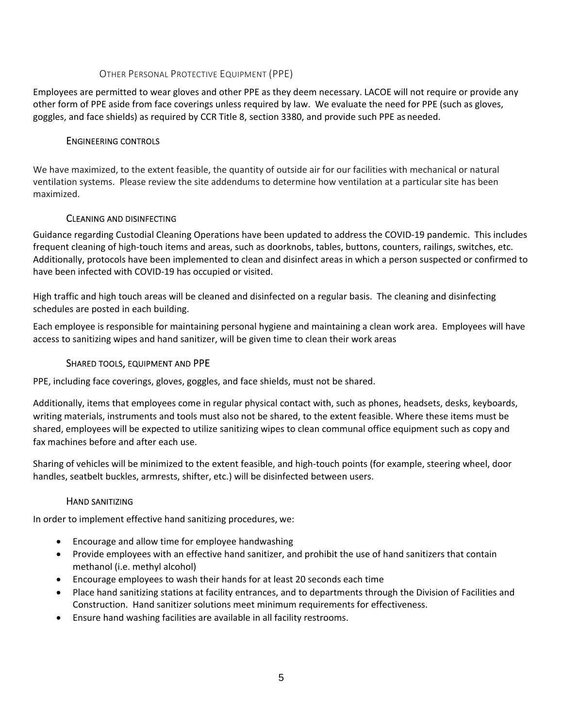### OTHER PERSONAL PROTECTIVE EQUIPMENT (PPE)

Employees are permitted to wear gloves and other PPE as they deem necessary. LACOE will not require or provide any other form of PPE aside from face coverings unless required by law. We evaluate the need for PPE (such as gloves, goggles, and face shields) as required by CCR Title 8, section 3380, and provide such PPE as needed.

### ENGINEERING CONTROLS

We have maximized, to the extent feasible, the quantity of outside air for our facilities with mechanical or natural ventilation systems. Please review the site addendums to determine how ventilation at a particular site has been maximized.

### CLEANING AND DISINFECTING

Guidance regarding Custodial Cleaning Operations have been updated to address the COVID-19 pandemic. This includes frequent cleaning of high-touch items and areas, such as doorknobs, tables, buttons, counters, railings, switches, etc. Additionally, protocols have been implemented to clean and disinfect areas in which a person suspected or confirmed to have been infected with COVID-19 has occupied or visited.

High traffic and high touch areas will be cleaned and disinfected on a regular basis. The cleaning and disinfecting schedules are posted in each building.

Each employee is responsible for maintaining personal hygiene and maintaining a clean work area. Employees will have access to sanitizing wipes and hand sanitizer, will be given time to clean their work areas

### SHARED TOOLS, EQUIPMENT AND PPE

PPE, including face coverings, gloves, goggles, and face shields, must not be shared.

Additionally, items that employees come in regular physical contact with, such as phones, headsets, desks, keyboards, writing materials, instruments and tools must also not be shared, to the extent feasible. Where these items must be shared, employees will be expected to utilize sanitizing wipes to clean communal office equipment such as copy and fax machines before and after each use.

Sharing of vehicles will be minimized to the extent feasible, and high-touch points (for example, steering wheel, door handles, seatbelt buckles, armrests, shifter, etc.) will be disinfected between users.

## HAND SANITIZING

In order to implement effective hand sanitizing procedures, we:

- Encourage and allow time for employee handwashing
- Provide employees with an effective hand sanitizer, and prohibit the use of hand sanitizers that contain methanol (i.e. methyl alcohol)
- Encourage employees to wash their hands for at least 20 seconds each time
- Place hand sanitizing stations at facility entrances, and to departments through the Division of Facilities and Construction. Hand sanitizer solutions meet minimum requirements for effectiveness.
- Ensure hand washing facilities are available in all facility restrooms.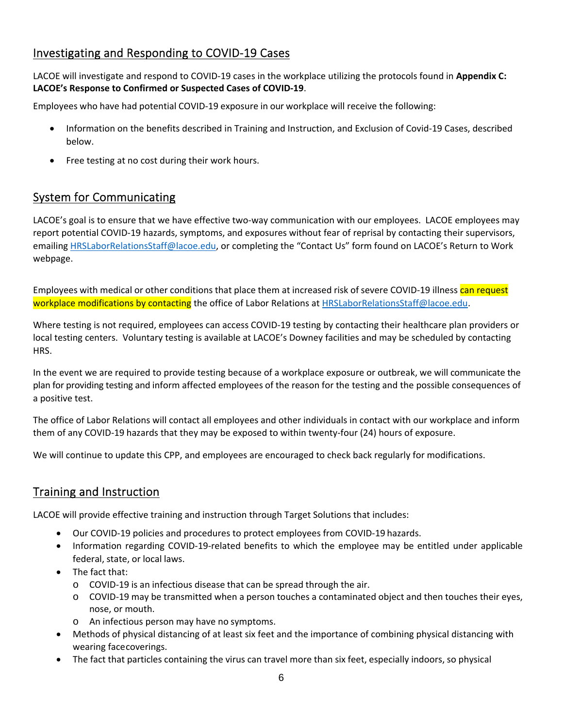## Investigating and Responding to COVID-19 Cases

LACOE will investigate and respond to COVID-19 cases in the workplace utilizing the protocols found in **Appendix C: LACOE's Response to Confirmed or Suspected Cases of COVID-19**.

Employees who have had potential COVID-19 exposure in our workplace will receive the following:

- Information on the benefits described in Training and Instruction, and Exclusion of Covid-19 Cases, described below.
- Free testing at no cost during their work hours.

## System for Communicating

LACOE's goal is to ensure that we have effective two-way communication with our employees. LACOE employees may report potential COVID-19 hazards, symptoms, and exposures without fear of reprisal by contacting their supervisors, emailing HRSLaborRelationsStaff@lacoe.edu, or completing the "Contact Us" form found on LACOE's Return to Work webpage.

Employees with medical or other conditions that place them at increased risk of severe COVID-19 illness can request workplace modifications by contacting the office of Labor Relations at HRSLaborRelationsStaff@lacoe.edu.

Where testing is not required, employees can access COVID-19 testing by contacting their healthcare plan providers or local testing centers. Voluntary testing is available at LACOE's Downey facilities and may be scheduled by contacting HRS.

In the event we are required to provide testing because of a workplace exposure or outbreak, we will communicate the plan for providing testing and inform affected employees of the reason for the testing and the possible consequences of a positive test.

The office of Labor Relations will contact all employees and other individuals in contact with our workplace and inform them of any COVID-19 hazards that they may be exposed to within twenty-four (24) hours of exposure.

We will continue to update this CPP, and employees are encouraged to check back regularly for modifications.

## Training and Instruction

LACOE will provide effective training and instruction through Target Solutions that includes:

- Our COVID-19 policies and procedures to protect employees from COVID-19 hazards.
- Information regarding COVID-19-related benefits to which the employee may be entitled under applicable federal, state, or local laws.
- The fact that:
	- o COVID-19 is an infectious disease that can be spread through the air.
	- o COVID-19 may be transmitted when a person touches a contaminated object and then touches their eyes, nose, or mouth.
	- o An infectious person may have no symptoms.
- Methods of physical distancing of at least six feet and the importance of combining physical distancing with wearing face coverings.
- The fact that particles containing the virus can travel more than six feet, especially indoors, so physical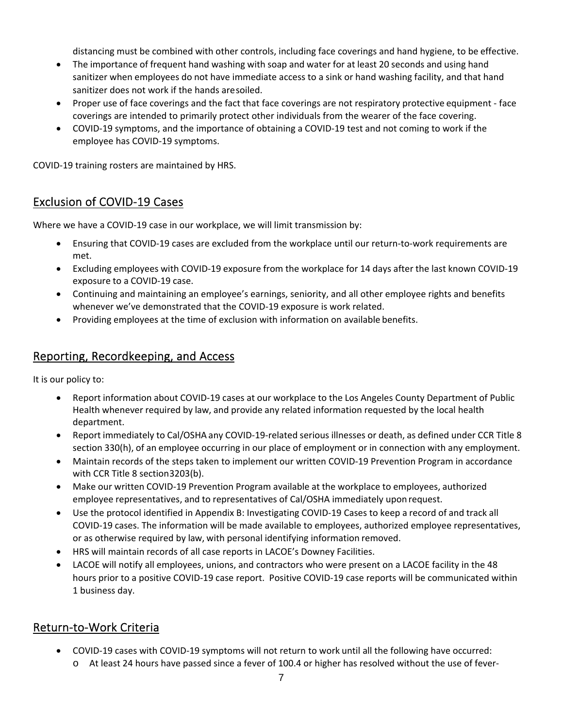distancing must be combined with other controls, including face coverings and hand hygiene, to be effective.

- The importance of frequent hand washing with soap and water for at least 20 seconds and using hand sanitizer when employees do not have immediate access to a sink or hand washing facility, and that hand sanitizer does not work if the hands are soiled.
- Proper use of face coverings and the fact that face coverings are not respiratory protective equipment face coverings are intended to primarily protect other individuals from the wearer of the face covering.
- COVID-19 symptoms, and the importance of obtaining a COVID-19 test and not coming to work if the employee has COVID-19 symptoms.

COVID-19 training rosters are maintained by HRS.

## Exclusion of COVID-19 Cases

Where we have a COVID-19 case in our workplace, we will limit transmission by:

- Ensuring that COVID-19 cases are excluded from the workplace until our return-to-work requirements are met.
- Excluding employees with COVID-19 exposure from the workplace for 14 days after the last known COVID-19 exposure to a COVID-19 case.
- Continuing and maintaining an employee's earnings, seniority, and all other employee rights and benefits whenever we've demonstrated that the COVID-19 exposure is work related.
- Providing employees at the time of exclusion with information on available benefits.

## Reporting, Recordkeeping, and Access

It is our policy to:

- Report information about COVID-19 cases at our workplace to the Los Angeles County Department of Public Health whenever required by law, and provide any related information requested by the local health department.
- Report immediately to Cal/OSHA any COVID-19-related serious illnesses or death, as defined under CCR Title 8 section 330(h), of an employee occurring in our place of employment or in connection with any employment.
- Maintain records of the steps taken to implement our written COVID-19 Prevention Program in accordance with CCR Title 8 section 3203(b).
- Make our written COVID-19 Prevention Program available at the workplace to employees, authorized employee representatives, and to representatives of Cal/OSHA immediately upon request.
- Use the protocol identified in Appendix B: Investigating COVID-19 Cases to keep a record of and track all COVID-19 cases. The information will be made available to employees, authorized employee representatives, or as otherwise required by law, with personal identifying information removed.
- HRS will maintain records of all case reports in LACOE's Downey Facilities.
- LACOE will notify all employees, unions, and contractors who were present on a LACOE facility in the 48 hours prior to a positive COVID-19 case report. Positive COVID-19 case reports will be communicated within 1 business day.

## Return-to-Work Criteria

 COVID-19 cases with COVID-19 symptoms will not return to work until all the following have occurred: o At least 24 hours have passed since a fever of 100.4 or higher has resolved without the use of fever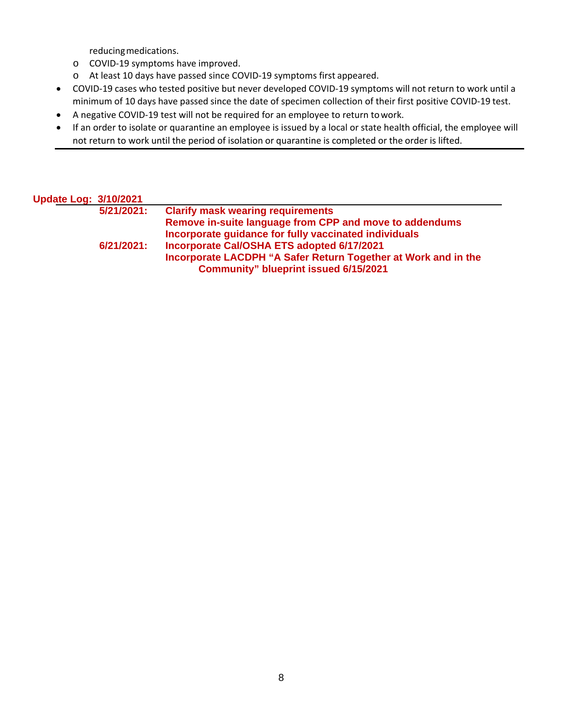reducing medications.

- o COVID-19 symptoms have improved.
- o At least 10 days have passed since COVID-19 symptoms first appeared.
- COVID-19 cases who tested positive but never developed COVID-19 symptoms will not return to work until a minimum of 10 days have passed since the date of specimen collection of their first positive COVID-19 test.
- A negative COVID-19 test will not be required for an employee to return to work.
- If an order to isolate or quarantine an employee is issued by a local or state health official, the employee will not return to work until the period of isolation or quarantine is completed or the order is lifted.

| <b>Update Log: 3/10/2021</b> |            |                                                                                                                |
|------------------------------|------------|----------------------------------------------------------------------------------------------------------------|
| 5/21/2021:                   |            | <b>Clarify mask wearing requirements</b>                                                                       |
|                              |            | Remove in-suite language from CPP and move to addendums                                                        |
|                              |            | Incorporate guidance for fully vaccinated individuals                                                          |
|                              | 6/21/2021: | Incorporate Cal/OSHA ETS adopted 6/17/2021                                                                     |
|                              |            | Incorporate LACDPH "A Safer Return Together at Work and in the<br><b>Community" blueprint issued 6/15/2021</b> |
|                              |            |                                                                                                                |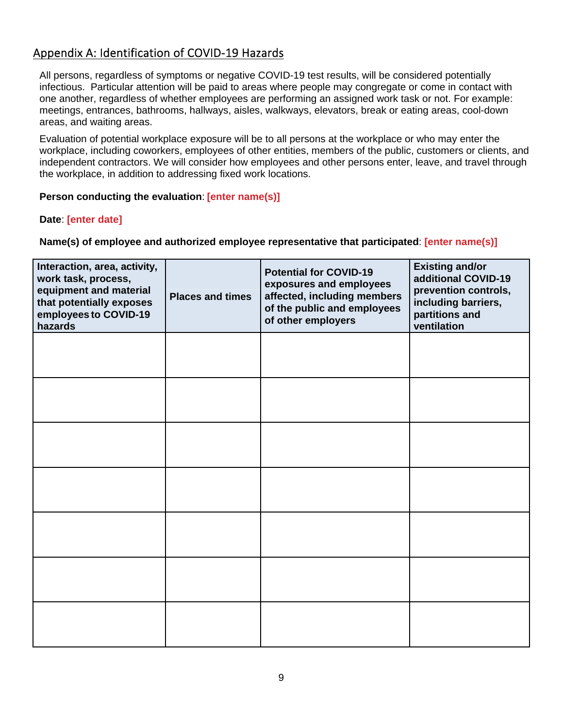## Appendix A: Identification of COVID-19 Hazards

All persons, regardless of symptoms or negative COVID-19 test results, will be considered potentially infectious. Particular attention will be paid to areas where people may congregate or come in contact with one another, regardless of whether employees are performing an assigned work task or not. For example: meetings, entrances, bathrooms, hallways, aisles, walkways, elevators, break or eating areas, cool-down areas, and waiting areas.

Evaluation of potential workplace exposure will be to all persons at the workplace or who may enter the workplace, including coworkers, employees of other entities, members of the public, customers or clients, and independent contractors. We will consider how employees and other persons enter, leave, and travel through the workplace, in addition to addressing fixed work locations.

## **Person conducting the evaluation**: **[enter name(s)]**

## **Date**: **[enter date]**

**Name(s) of employee and authorized employee representative that participated**: **[enter name(s)]**

| Interaction, area, activity,<br>work task, process,<br>equipment and material<br>that potentially exposes<br>employees to COVID-19<br>hazards | <b>Places and times</b> | <b>Potential for COVID-19</b><br>exposures and employees<br>affected, including members<br>of the public and employees<br>of other employers | <b>Existing and/or</b><br>additional COVID-19<br>prevention controls,<br>including barriers,<br>partitions and<br>ventilation |
|-----------------------------------------------------------------------------------------------------------------------------------------------|-------------------------|----------------------------------------------------------------------------------------------------------------------------------------------|-------------------------------------------------------------------------------------------------------------------------------|
|                                                                                                                                               |                         |                                                                                                                                              |                                                                                                                               |
|                                                                                                                                               |                         |                                                                                                                                              |                                                                                                                               |
|                                                                                                                                               |                         |                                                                                                                                              |                                                                                                                               |
|                                                                                                                                               |                         |                                                                                                                                              |                                                                                                                               |
|                                                                                                                                               |                         |                                                                                                                                              |                                                                                                                               |
|                                                                                                                                               |                         |                                                                                                                                              |                                                                                                                               |
|                                                                                                                                               |                         |                                                                                                                                              |                                                                                                                               |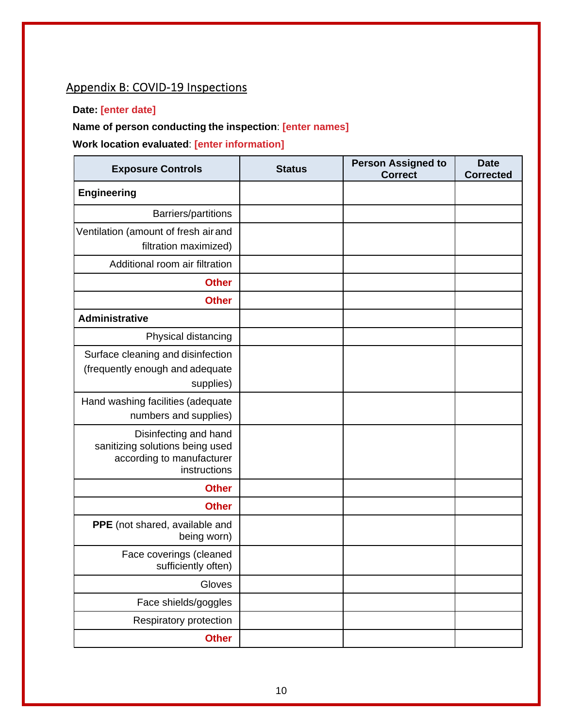## Appendix B: COVID-19 Inspections

## **Date: [enter date]**

## **Name of person conducting the inspection**: **[enter names]**

**Work location evaluated**: **[enter information]**

| <b>Exposure Controls</b>                                                                              | <b>Status</b> | <b>Person Assigned to</b><br><b>Correct</b> | <b>Date</b><br><b>Corrected</b> |
|-------------------------------------------------------------------------------------------------------|---------------|---------------------------------------------|---------------------------------|
| <b>Engineering</b>                                                                                    |               |                                             |                                 |
| <b>Barriers/partitions</b>                                                                            |               |                                             |                                 |
| Ventilation (amount of fresh air and<br>filtration maximized)                                         |               |                                             |                                 |
| Additional room air filtration                                                                        |               |                                             |                                 |
| <b>Other</b>                                                                                          |               |                                             |                                 |
| <b>Other</b>                                                                                          |               |                                             |                                 |
| <b>Administrative</b>                                                                                 |               |                                             |                                 |
| Physical distancing                                                                                   |               |                                             |                                 |
| Surface cleaning and disinfection<br>(frequently enough and adequate<br>supplies)                     |               |                                             |                                 |
| Hand washing facilities (adequate<br>numbers and supplies)                                            |               |                                             |                                 |
| Disinfecting and hand<br>sanitizing solutions being used<br>according to manufacturer<br>instructions |               |                                             |                                 |
| <b>Other</b>                                                                                          |               |                                             |                                 |
| <b>Other</b>                                                                                          |               |                                             |                                 |
| PPE (not shared, available and<br>being worn)                                                         |               |                                             |                                 |
| Face coverings (cleaned<br>sufficiently often)                                                        |               |                                             |                                 |
| Gloves                                                                                                |               |                                             |                                 |
| Face shields/goggles                                                                                  |               |                                             |                                 |
| Respiratory protection                                                                                |               |                                             |                                 |
| <b>Other</b>                                                                                          |               |                                             |                                 |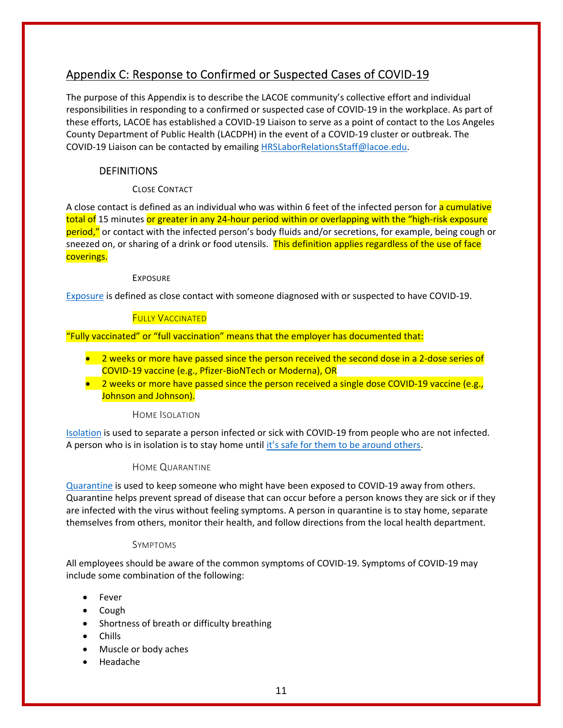## Appendix C: Response to Confirmed or Suspected Cases of COVID-19

The purpose of this Appendix is to describe the LACOE community's collective effort and individual responsibilities in responding to a confirmed or suspected case of COVID-19 in the workplace. As part of these efforts, LACOE has established a COVID-19 Liaison to serve as a point of contact to the Los Angeles County Department of Public Health (LACDPH) in the event of a COVID-19 cluster or outbreak. The COVID-19 Liaison can be contacted by emailing HRSLaborRelationsStaff@lacoe.edu.

## **DEFINITIONS**

## CLOSE CONTACT

A close contact is defined as an individual who was within 6 feet of the infected person for a cumulative total of 15 minutes or greater in any 24-hour period within or overlapping with the "high-risk exposure period," or contact with the infected person's body fluids and/or secretions, for example, being cough or sneezed on, or sharing of a drink or food utensils. This definition applies regardless of the use of face coverings.

## EXPOSURE

Exposure is defined as close contact with someone diagnosed with or suspected to have COVID-19.

## **FULLY VACCINATED**

"Fully vaccinated" or "full vaccination" means that the employer has documented that:

- 2 weeks or more have passed since the person received the second dose in a 2-dose series of COVID-19 vaccine (e.g., Pfizer-BioNTech or Moderna), OR
- 2 weeks or more have passed since the person received a single dose COVID-19 vaccine (e.g., Johnson and Johnson).

#### HOME ISOLATION

Isolation is used to separate a person infected or sick with COVID-19 from people who are not infected. A person who is in isolation is to stay home until it's safe for them to be around others.

## HOME QUARANTINE

Quarantine is used to keep someone who might have been exposed to COVID-19 away from others. Quarantine helps prevent spread of disease that can occur before a person knows they are sick or if they are infected with the virus without feeling symptoms. A person in quarantine is to stay home, separate themselves from others, monitor their health, and follow directions from the local health department.

#### SYMPTOMS

All employees should be aware of the common symptoms of COVID-19. Symptoms of COVID-19 may include some combination of the following:

- Fever
- Cough
- Shortness of breath or difficulty breathing
- Chills
- Muscle or body aches
- Headache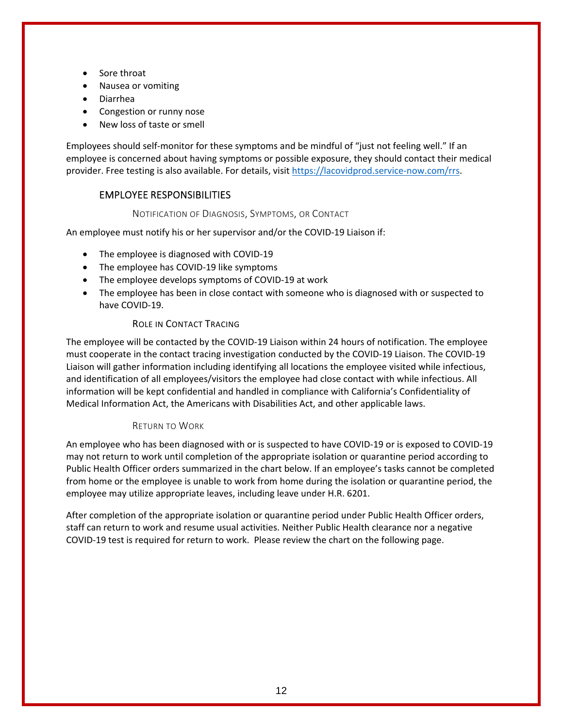- Sore throat
- Nausea or vomiting
- Diarrhea
- Congestion or runny nose
- New loss of taste or smell

Employees should self-monitor for these symptoms and be mindful of "just not feeling well." If an employee is concerned about having symptoms or possible exposure, they should contact their medical provider. Free testing is also available. For details, visit https://lacovidprod.service-now.com/rrs.

## EMPLOYEE RESPONSIBILITIES

#### NOTIFICATION OF DIAGNOSIS, SYMPTOMS, OR CONTACT

An employee must notify his or her supervisor and/or the COVID-19 Liaison if:

- The employee is diagnosed with COVID-19
- The employee has COVID-19 like symptoms
- The employee develops symptoms of COVID-19 at work
- The employee has been in close contact with someone who is diagnosed with or suspected to have COVID-19.

#### ROLE IN CONTACT TRACING

The employee will be contacted by the COVID-19 Liaison within 24 hours of notification. The employee must cooperate in the contact tracing investigation conducted by the COVID-19 Liaison. The COVID-19 Liaison will gather information including identifying all locations the employee visited while infectious, and identification of all employees/visitors the employee had close contact with while infectious. All information will be kept confidential and handled in compliance with California's Confidentiality of Medical Information Act, the Americans with Disabilities Act, and other applicable laws.

#### RETURN TO WORK

An employee who has been diagnosed with or is suspected to have COVID-19 or is exposed to COVID-19 may not return to work until completion of the appropriate isolation or quarantine period according to Public Health Officer orders summarized in the chart below. If an employee's tasks cannot be completed from home or the employee is unable to work from home during the isolation or quarantine period, the employee may utilize appropriate leaves, including leave under H.R. 6201.

After completion of the appropriate isolation or quarantine period under Public Health Officer orders, staff can return to work and resume usual activities. Neither Public Health clearance nor a negative COVID-19 test is required for return to work. Please review the chart on the following page.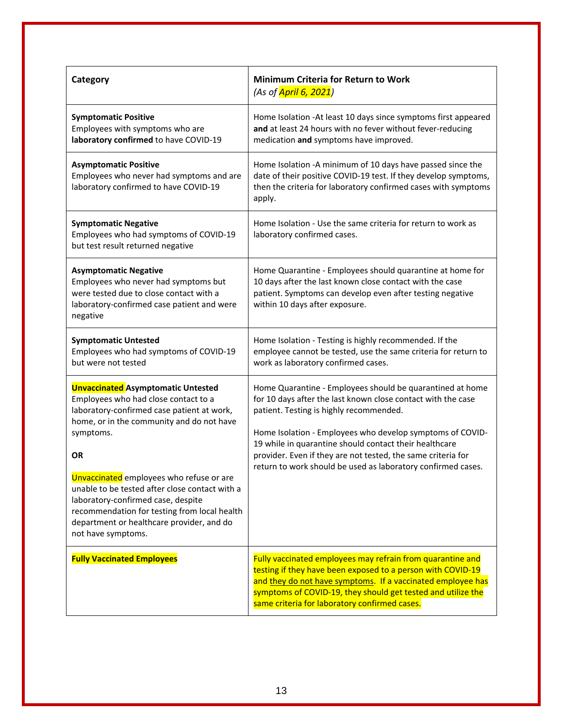| Category                                                                                                                                                                                                                                                                                                                                                                                                                                                                   | <b>Minimum Criteria for Return to Work</b><br>(As of April 6, 2021)                                                                                                                                                                                                                                                                                                                                                         |
|----------------------------------------------------------------------------------------------------------------------------------------------------------------------------------------------------------------------------------------------------------------------------------------------------------------------------------------------------------------------------------------------------------------------------------------------------------------------------|-----------------------------------------------------------------------------------------------------------------------------------------------------------------------------------------------------------------------------------------------------------------------------------------------------------------------------------------------------------------------------------------------------------------------------|
| <b>Symptomatic Positive</b><br>Employees with symptoms who are<br>laboratory confirmed to have COVID-19                                                                                                                                                                                                                                                                                                                                                                    | Home Isolation - At least 10 days since symptoms first appeared<br>and at least 24 hours with no fever without fever-reducing<br>medication and symptoms have improved.                                                                                                                                                                                                                                                     |
| <b>Asymptomatic Positive</b><br>Employees who never had symptoms and are<br>laboratory confirmed to have COVID-19                                                                                                                                                                                                                                                                                                                                                          | Home Isolation - A minimum of 10 days have passed since the<br>date of their positive COVID-19 test. If they develop symptoms,<br>then the criteria for laboratory confirmed cases with symptoms<br>apply.                                                                                                                                                                                                                  |
| <b>Symptomatic Negative</b><br>Employees who had symptoms of COVID-19<br>but test result returned negative                                                                                                                                                                                                                                                                                                                                                                 | Home Isolation - Use the same criteria for return to work as<br>laboratory confirmed cases.                                                                                                                                                                                                                                                                                                                                 |
| <b>Asymptomatic Negative</b><br>Employees who never had symptoms but<br>were tested due to close contact with a<br>laboratory-confirmed case patient and were<br>negative                                                                                                                                                                                                                                                                                                  | Home Quarantine - Employees should quarantine at home for<br>10 days after the last known close contact with the case<br>patient. Symptoms can develop even after testing negative<br>within 10 days after exposure.                                                                                                                                                                                                        |
| <b>Symptomatic Untested</b><br>Employees who had symptoms of COVID-19<br>but were not tested                                                                                                                                                                                                                                                                                                                                                                               | Home Isolation - Testing is highly recommended. If the<br>employee cannot be tested, use the same criteria for return to<br>work as laboratory confirmed cases.                                                                                                                                                                                                                                                             |
| <b>Unvaccinated Asymptomatic Untested</b><br>Employees who had close contact to a<br>laboratory-confirmed case patient at work,<br>home, or in the community and do not have<br>symptoms.<br><b>OR</b><br><mark>Unvaccinated</mark> employees who refuse or are<br>unable to be tested after close contact with a<br>laboratory-confirmed case, despite<br>recommendation for testing from local health<br>department or healthcare provider, and do<br>not have symptoms. | Home Quarantine - Employees should be quarantined at home<br>for 10 days after the last known close contact with the case<br>patient. Testing is highly recommended.<br>Home Isolation - Employees who develop symptoms of COVID-<br>19 while in quarantine should contact their healthcare<br>provider. Even if they are not tested, the same criteria for<br>return to work should be used as laboratory confirmed cases. |
| <b>Fully Vaccinated Employees</b>                                                                                                                                                                                                                                                                                                                                                                                                                                          | Fully vaccinated employees may refrain from quarantine and<br>testing if they have been exposed to a person with COVID-19<br>and they do not have symptoms. If a vaccinated employee has<br>symptoms of COVID-19, they should get tested and utilize the<br>same criteria for laboratory confirmed cases.                                                                                                                   |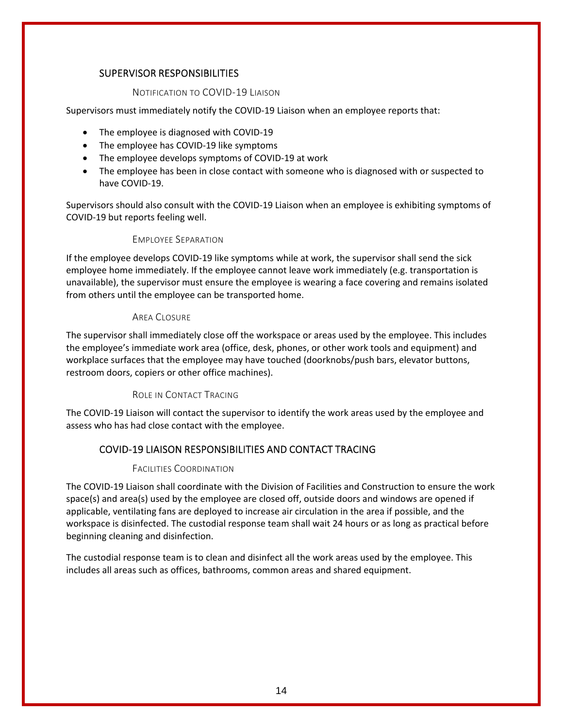## SUPERVISOR RESPONSIBILITIES

#### NOTIFICATION TO COVID-19 LIAISON

Supervisors must immediately notify the COVID-19 Liaison when an employee reports that:

- The employee is diagnosed with COVID-19
- The employee has COVID-19 like symptoms
- The employee develops symptoms of COVID-19 at work
- The employee has been in close contact with someone who is diagnosed with or suspected to have COVID-19.

Supervisors should also consult with the COVID-19 Liaison when an employee is exhibiting symptoms of COVID-19 but reports feeling well.

#### EMPLOYEE SEPARATION

If the employee develops COVID-19 like symptoms while at work, the supervisor shall send the sick employee home immediately. If the employee cannot leave work immediately (e.g. transportation is unavailable), the supervisor must ensure the employee is wearing a face covering and remains isolated from others until the employee can be transported home.

#### AREA CLOSURE

The supervisor shall immediately close off the workspace or areas used by the employee. This includes the employee's immediate work area (office, desk, phones, or other work tools and equipment) and workplace surfaces that the employee may have touched (doorknobs/push bars, elevator buttons, restroom doors, copiers or other office machines).

## ROLE IN CONTACT TRACING

The COVID-19 Liaison will contact the supervisor to identify the work areas used by the employee and assess who has had close contact with the employee.

## COVID-19 LIAISON RESPONSIBILITIES AND CONTACT TRACING

#### FACILITIES COORDINATION

The COVID-19 Liaison shall coordinate with the Division of Facilities and Construction to ensure the work space(s) and area(s) used by the employee are closed off, outside doors and windows are opened if applicable, ventilating fans are deployed to increase air circulation in the area if possible, and the workspace is disinfected. The custodial response team shall wait 24 hours or as long as practical before beginning cleaning and disinfection.

The custodial response team is to clean and disinfect all the work areas used by the employee. This includes all areas such as offices, bathrooms, common areas and shared equipment.